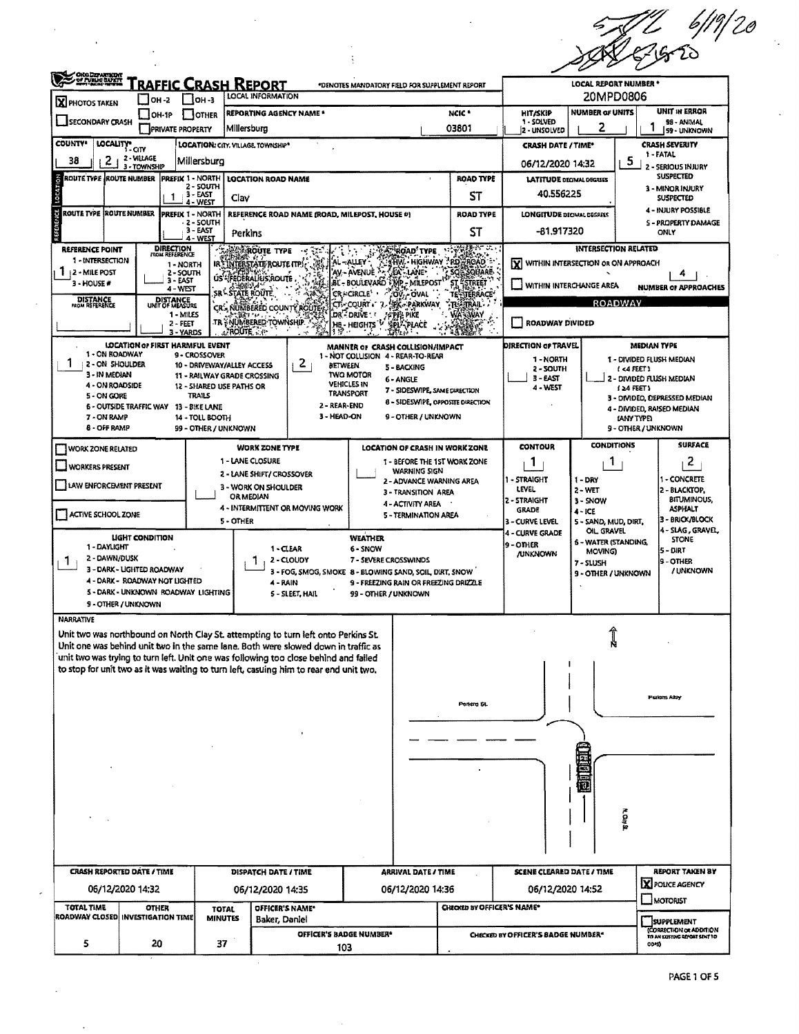$\frac{1}{2}$ 

| SHORTANDON<br>$\Box$ OH -2                                                                                                                                                     | <u>RAFFIC CRASH REPORT</u><br>Г Іон-з                          | LOCAL INFORMATION                               | *DENOTES MANDATORY FIELD FOR SUPPLEMENT REPORT                                       |                                    |                                                | <b>LOCAL REPORT NUMBER *</b><br>20MPD0806                         |                                                           |  |  |
|--------------------------------------------------------------------------------------------------------------------------------------------------------------------------------|----------------------------------------------------------------|-------------------------------------------------|--------------------------------------------------------------------------------------|------------------------------------|------------------------------------------------|-------------------------------------------------------------------|-----------------------------------------------------------|--|--|
| <b>X</b> PHOTOS TAKEN<br>l 011-1P                                                                                                                                              | <b>I</b> JOTHER                                                | REPORTING AGENCY NAME *                         |                                                                                      | NCIC *                             | <b>HIT/SKIP</b>                                | UNIT IN ERROR<br><b>NUMBER OF UNITS</b>                           |                                                           |  |  |
| SECONDARY CRASH<br><b>PRIVATE PROPERTY</b>                                                                                                                                     | Millersburg                                                    | 03801                                           | 1 - SOLVED<br>2 - UNSOLVED                                                           | 2                                  | 98 - ANIMAL<br>99 - UNKNOWN                    |                                                                   |                                                           |  |  |
| <b>COUNTY</b> *<br>LOCALITY CITY                                                                                                                                               | LOCATION: CITY. VILLAGE, TOWNSHIP*                             |                                                 |                                                                                      |                                    | <b>CRASH DATE / TIME*</b>                      |                                                                   | <b>CRASH SEVERITY</b><br>1 - FATAL                        |  |  |
| 2 - VILLAGE<br>2<br>38<br>3 - TOWNSHIP                                                                                                                                         | Millersburg                                                    |                                                 |                                                                                      |                                    | 06/12/2020 14:32                               |                                                                   | 5<br>2 - SERIOUS INJURY                                   |  |  |
| LOCATION<br>ROUTE TYPE ROUTE NUMBER                                                                                                                                            | <b>PREFIX 1 - NORTH</b><br>2 - SOUTH                           | <b>LOCATION ROAD NAME</b>                       |                                                                                      | road type                          | <b>LATITUDE DECIMAL DEGREES</b>                |                                                                   | <b>SUSPECTED</b><br>3 - MINOR INJURY                      |  |  |
| ı                                                                                                                                                                              | $3 - EAST$<br>Clav<br>4 - WEST                                 |                                                 |                                                                                      | ST                                 | 40.556225                                      | <b>SUSPECTED</b>                                                  |                                                           |  |  |
| REFERENCE<br>ROUTE TYPE ROUTE NUMBER                                                                                                                                           | PREFIX 1 - NORTH<br>2 - SOUTH<br>3 - EAST<br>Perkins<br>4 WEST | REFERENCE ROAD NAME (ROAD, MILEPOST, HOUSE #)   |                                                                                      | ROAD TYPE<br>ST                    | <b>LONGITUDE DECIMAL DEGREES</b><br>-81.917320 | 4 - INJURY POSSIBLE<br>S - PROPERTY DAMAGE<br>ONLY                |                                                           |  |  |
| DIRECTION<br>FROM REFERENCE<br>REFERENCE POINT<br>1 - INTERSECTION<br>1 - NORTH                                                                                                |                                                                | <b>SROUTE TYPE</b><br>IR "INTERSTATE ROUTE (TP) | <b>ROAD TYPE</b><br>HW. HIGHWAY AD AROAD<br>AL-ALLEY                                 | 緑水 エ                               | ΙXΙ                                            | <b>INTERSECTION RELATED</b><br>WITHIN INTERSECTION OR ON APPROACH |                                                           |  |  |
| 1 12 - MILE POST<br>2-SOUTH<br>$3 - EAST$<br>3 - HOUSE #<br>4 - WEST                                                                                                           |                                                                | US - FEDERALIUS, ROUTE                          | <b>EX LANE</b><br>AV - AVENUE<br><b>BĽ – BOULEVARD</b><br><b>MP - MILEPOST</b>       | : SQE<br>SQUARE<br>STREET          |                                                | WITHIN INTERCHANGE AREA                                           | 4<br><b>NUMBER OF APPROACHES</b>                          |  |  |
| DISTANCE<br>FROM REFERENCE<br>DISTANCE<br>UNIT OF MEASURE                                                                                                                      | SR - STATE ROUTE                                               | CR's NUMBERED COUNTY ROUT                       | CR-CROLE<br>OV, OVAL<br><b>TRK - PARKWAY</b><br>CTS-COURT .                          | <b>STERRACE</b><br><b>TEATRAIL</b> | <b>ROADWAY</b>                                 |                                                                   |                                                           |  |  |
| 1 - MILES<br>2 - FEET<br>3 - YARDS                                                                                                                                             | <b>L'ROUTE</b> F.E.                                            | 97 γ.,<br>TR - NUMBERED TOWNSHIP<br>普拉          | DR-DRIVE !!<br>:4 PIR: PIKE<br>HE - HEIGHTS <sup>"G</sup><br><b>GPLE-TELACE</b>      | <b>WAS WAY</b>                     | ROADWAY DIVIDED                                |                                                                   |                                                           |  |  |
| LOCATION OF FIRST HARMFUL EVENT<br>1 - ON ROADWAY                                                                                                                              | 9 - CROSSOVER                                                  |                                                 | MANNER OF CRASH COLLISION/IMPACT<br>1 - NOT COLLISION 4 - REAR-TO-REAR               |                                    | DIRECTION OF TRAVEL                            |                                                                   | <b>MEDIAN TYPE</b>                                        |  |  |
| T.<br>2 - ON SHOULDER<br>3 - IN MEDIAN                                                                                                                                         | 10 - DRIVEWAY/ALLEY ACCESS<br>11 - RAILWAY GRADE CROSSING      | $\mathbf{2}$<br><b>BETWEEN</b>                  | 5 - BACKING<br><b>TWO MOTOR</b>                                                      |                                    | 1 - NORTH<br>2 - SOUTH                         |                                                                   | 1 - DIVIDED FLUSH MEDIAN<br>(<4FEET)                      |  |  |
| 4 - ON ROADSIDE                                                                                                                                                                | 12 - SHARED USE PATHS OR                                       |                                                 | 6 - ANGLE<br><b>VEHICLES IN</b><br>7 - SIDESWIPE, SAME DIRECTION<br><b>TRANSPORT</b> |                                    | $3 - EAST$<br>4 - WEST                         |                                                                   | 2 - DIVIDED FLUSH MEDIAN<br>124 FEET)                     |  |  |
| 5 - ON GORE<br>6 - OUTSIDE TRAFFIC WAY 13 - BIKE LANE                                                                                                                          | TRAILS                                                         | 2 - REAR-END                                    | <b>8 - SIDESWIPE, OPPOSITE DIRECTION</b>                                             |                                    |                                                | 3 - DIVIDEO, DEPRESSED MEDIAN<br>4 - DIVIDED, RAISED MEDIAN       |                                                           |  |  |
| 7 - ON RAMP<br>8 - OFF RAMP                                                                                                                                                    | 14 - TOLL BOOTH<br><b>99 - OTHER / UNKNOWN</b>                 | 3 - HEAD-ON                                     | 9 - OTHER / UNKNOWN                                                                  |                                    |                                                |                                                                   | (ANY TYPE)<br>9 - OTHER / UNKNOWN                         |  |  |
| <b>WORK ZONE RELATED</b>                                                                                                                                                       |                                                                | <b>WORK ZONE TYPE</b>                           | LOCATION OF CRASH IN WORK ZONE                                                       |                                    | <b>CONTOUR</b>                                 | <b>CONDITIONS</b>                                                 | <b>SURFACE</b>                                            |  |  |
| <b>WORKERS PRESENT</b>                                                                                                                                                         |                                                                | 1 - LANE CLOSURE                                | 1 - BEFORE THE 1ST WORK ZONE                                                         |                                    | 1                                              | $\mathbf{1}$                                                      | $\mathbf{z}$                                              |  |  |
| LAW ENFORCEMENT PRESENT                                                                                                                                                        |                                                                | 2 - LANE SHIFT/ CROSSOVER                       | <b>WARNING SIGN</b><br>2 - ADVANCE WARNING AREA                                      |                                    | 1 - STRAIGHT                                   | 1 - CONCRETE                                                      |                                                           |  |  |
|                                                                                                                                                                                | <b>OR MEDIAN</b>                                               | 3 - WORK ON SHOULDER                            | 3 - TRANSITION AREA<br>4 - ACTIVITY AREA                                             |                                    | LEVEL<br>2 - STRAIGHT                          | 2 - WET<br>3 - SNOW                                               | 2 - BLACKTOP,<br><b>BITUMINOUS,</b>                       |  |  |
| ACTIVE SCHOOL ZONE                                                                                                                                                             | 5 - OTHER                                                      | 4 - INTERMITTENT OR MOVING WORK                 | 5 - TERMINATION AREA                                                                 |                                    |                                                |                                                                   | <b>ASPHALT</b><br>3 - BRICK/BLOCK<br>5 - SAND, MUD, DIRT, |  |  |
| <b>LIGHT CONDITION</b>                                                                                                                                                         |                                                                |                                                 | <b>WEATHER</b>                                                                       |                                    | 3 - CURVE LEVEL<br>4 - CURVE GRADE             | OIL, GRAVEL<br>6 - WATER (STANDING,                               | 4 - SLAG , GRAVEL,<br><b>STONE</b>                        |  |  |
| 1 - DAYLIGHT<br>2 - DAWN/DUSK                                                                                                                                                  |                                                                | $1 - CLBA$<br>2 - CLOUDY                        | 6 - SNOW<br>7 - SEVERE CROSSWINDS                                                    |                                    | 9 - OTHER<br><b><i>AINKNOWN</i></b>            | MOVING)<br>7 - SLUSH                                              | 5 - DIRT                                                  |  |  |
| L<br>3 - DARK - LIGHTED ROADWAY                                                                                                                                                |                                                                |                                                 | 3 - FOG, SMOG, SMOKE 8 - BLOWING SAND, SOIL, DIRT, SNOW                              |                                    |                                                | 9 - OTHER<br>/ UNKNOWN<br>9 - OTHER / UNKNOWN                     |                                                           |  |  |
| 4 - DARK - ROADWAY NOT LIGHTED<br>5 - DARK - UNKNOWN ROADWAY LIGHTING                                                                                                          |                                                                | 4 - RAIN<br>5 - SLEET, HAIL                     | 9 - FREEZING RAIN OR FREEZING DRIZZLE<br>99 - OTHER / UNKNOWN                        |                                    |                                                |                                                                   |                                                           |  |  |
| <b>9 - OTHER / UNKNOWN</b>                                                                                                                                                     |                                                                |                                                 |                                                                                      |                                    |                                                |                                                                   |                                                           |  |  |
| <b>NARRATIVE</b>                                                                                                                                                               |                                                                |                                                 |                                                                                      |                                    |                                                |                                                                   |                                                           |  |  |
| Unit two was northbound on North Clay St. attempting to turn left onto Perkins St.<br>Unit one was behind unit two in the same lane. Both were slowed down in traffic as       |                                                                |                                                 |                                                                                      |                                    |                                                |                                                                   |                                                           |  |  |
| unit two was trying to turn left. Unit one was following too close behind and failed<br>to stop for unit two as it was waiting to turn left, casuing him to rear end unit two. |                                                                |                                                 |                                                                                      |                                    |                                                |                                                                   |                                                           |  |  |
|                                                                                                                                                                                |                                                                |                                                 |                                                                                      |                                    |                                                |                                                                   |                                                           |  |  |
|                                                                                                                                                                                |                                                                |                                                 |                                                                                      | Ferting St.                        |                                                |                                                                   | <b>Fulans Aby</b>                                         |  |  |
|                                                                                                                                                                                |                                                                |                                                 |                                                                                      |                                    |                                                |                                                                   |                                                           |  |  |
|                                                                                                                                                                                |                                                                |                                                 |                                                                                      |                                    |                                                |                                                                   |                                                           |  |  |
|                                                                                                                                                                                |                                                                |                                                 |                                                                                      |                                    |                                                |                                                                   |                                                           |  |  |
|                                                                                                                                                                                |                                                                |                                                 |                                                                                      |                                    |                                                |                                                                   |                                                           |  |  |
|                                                                                                                                                                                |                                                                |                                                 |                                                                                      |                                    |                                                | ā                                                                 |                                                           |  |  |
|                                                                                                                                                                                |                                                                |                                                 |                                                                                      |                                    |                                                |                                                                   |                                                           |  |  |
|                                                                                                                                                                                |                                                                |                                                 |                                                                                      |                                    |                                                |                                                                   | <b>H. Oay St.</b>                                         |  |  |
|                                                                                                                                                                                |                                                                |                                                 |                                                                                      |                                    |                                                |                                                                   |                                                           |  |  |
| <b>CRASH REPORTED DATE / TIME</b>                                                                                                                                              |                                                                | DISPATCH DATE / TIME                            |                                                                                      |                                    | SCENE CLEARED DATE / TIME                      |                                                                   | <b>REPORT TAKEN BY</b>                                    |  |  |
| 06/12/2020 14:32                                                                                                                                                               |                                                                | 06/12/2020 14:35                                | <b>ARRIVAL DATE / TIME</b><br>06/12/2020 14:36                                       |                                    |                                                | 06/12/2020 14:52                                                  | X POUCE AGENCY                                            |  |  |
| <b>TOTAL TIME</b><br><b>OTHER</b><br>ROADWAY CLOSED INVESTIGATION TIME                                                                                                         | <b>TOTAL</b>                                                   | OFFICER'S NAME*                                 |                                                                                      | CHECKED BY OFFICER'S NAME*         |                                                |                                                                   | <b>MOTORIST</b>                                           |  |  |
|                                                                                                                                                                                | <b>MINUTES</b>                                                 | Baker, Daniel<br>OFFICER'S BADGE NUMBER*        |                                                                                      |                                    | CHECKED BY OFFICER'S BADGE NUMBER*             |                                                                   | <b>SUPPLEMENT</b><br>(CORRECTION OR ADDITION              |  |  |
| 5<br>20                                                                                                                                                                        | 37                                                             | 103                                             |                                                                                      |                                    |                                                |                                                                   | TO AN EXISTING REPORT SENT TO<br>OD-S)                    |  |  |

 $\sim$ 

 $\bar{z}$ 

 $\frac{1}{\sqrt{2}}$ 

 $\ddot{\phantom{a}}$ 

 $\mathcal{L}^{\text{max}}_{\text{max}}$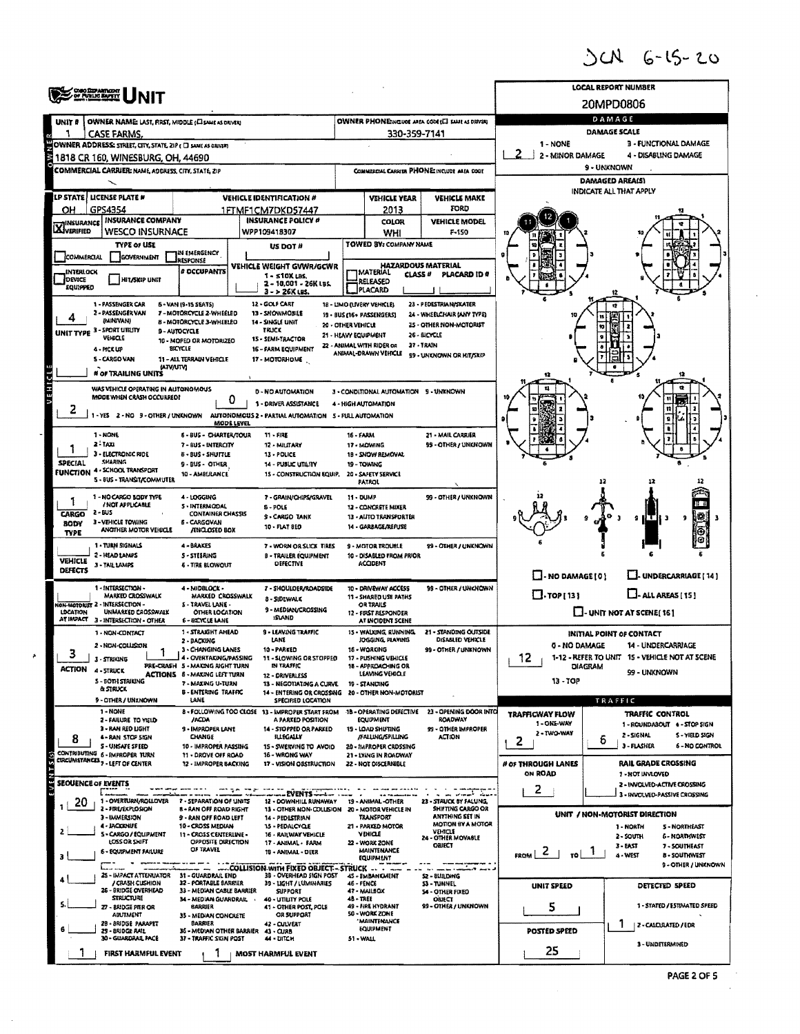JCN 6-15-20

|                                               | <b>CHING COOP ANTWOODST<br/>OF PUBLIC BAPTITY</b>                                                  |                                                             |                                                                         |                                                   |                                                        |                                                      |                                                   | <b>LOCAL REPORT NUMBER</b>                                              |  |  |  |  |
|-----------------------------------------------|----------------------------------------------------------------------------------------------------|-------------------------------------------------------------|-------------------------------------------------------------------------|---------------------------------------------------|--------------------------------------------------------|------------------------------------------------------|---------------------------------------------------|-------------------------------------------------------------------------|--|--|--|--|
|                                               |                                                                                                    |                                                             |                                                                         |                                                   |                                                        |                                                      |                                                   | 20MPD0806                                                               |  |  |  |  |
| UNIT #                                        | OWNER NAME: LAST, FIRST, MIDDLE (ElsAHE AS DRYEN)                                                  |                                                             |                                                                         | OWNER PHONE INCLUDE AREA CODE (ET SAME AS DRIVER) | DAMAGE                                                 |                                                      |                                                   |                                                                         |  |  |  |  |
|                                               | <b>CASE FARMS</b>                                                                                  |                                                             |                                                                         | 330-359-7141                                      |                                                        |                                                      | DAMAGE SCALE<br>1 - NONE<br>3 - FUNCTIONAL DAMAGE |                                                                         |  |  |  |  |
|                                               | OWNER ADDRESS: STREET, CITY, STATE, ZIP ( O SANE AS ORIVER)<br>3 1818 CR 160, WINESBURG, OH, 44690 |                                                             |                                                                         |                                                   |                                                        |                                                      | 2 - MINOR DAMAGE                                  | 4 - DISABLING DAMAGE                                                    |  |  |  |  |
|                                               | COMMERCIAL CARRIER: NAME, ADDRESS, CITY, STATE, 21P                                                |                                                             |                                                                         | COMMISCIAL CARRIER PHONE INCLUDE AREA COOF        |                                                        |                                                      | 9 - UNKNOWN                                       |                                                                         |  |  |  |  |
|                                               |                                                                                                    |                                                             |                                                                         |                                                   |                                                        |                                                      | <b>DAMAGED AREA(S)</b><br>INDICATE ALL THAT APPLY |                                                                         |  |  |  |  |
|                                               | LP STATE   LICENSE PLATE #                                                                         |                                                             | <b>VEHICLE IDENTIFICATION #</b>                                         | <b>VEHICLE YEAR</b><br><b>VEHICLE MAKE</b>        |                                                        |                                                      |                                                   |                                                                         |  |  |  |  |
|                                               | GPS4354<br>он<br>1FTMF1CM7DKD57447<br><b>INSURANCE COMPANY</b><br><b>INSURANCE POLICY #</b>        |                                                             |                                                                         |                                                   | 2013<br>COLOR                                          | FORD<br>VEHICLE MODEL                                |                                                   |                                                                         |  |  |  |  |
| <b>X</b> INSURANCE                            | <b>WESCO INSURNACE</b>                                                                             |                                                             | WPP109418307                                                            |                                                   | WHI                                                    | F-150                                                |                                                   |                                                                         |  |  |  |  |
|                                               | <b>TYPE OF USE</b>                                                                                 | IN EMERGENCY                                                | US DOT #                                                                |                                                   | TOWED BY: COMPANY NAME                                 |                                                      |                                                   |                                                                         |  |  |  |  |
| COMMERCIAL                                    | GOVERNMENT                                                                                         | <b>JRESPONSE</b><br><i><b>D OCCUPANTS</b></i>               | VEHICLE WEIGHT GVWR/GCWR                                                |                                                   | HAZARDOUS MATERIAL                                     |                                                      |                                                   |                                                                         |  |  |  |  |
| <b>INTERLOCK</b><br>DEVICE<br><b>EQUIPPED</b> | HIT/SKIP UNIT                                                                                      |                                                             | 1 - s10X LBS.<br>2 - 10,001 - 26K LBS.                                  |                                                   | CLASS <sup>#</sup><br>RELEASED                         | PLACARD ID #                                         |                                                   |                                                                         |  |  |  |  |
|                                               |                                                                                                    |                                                             | 3 - > 26X LBS.<br>12 - GOLF CART                                        |                                                   | PLACARD                                                |                                                      |                                                   |                                                                         |  |  |  |  |
|                                               | 1 - PASSENGER CAR<br>2 - PASSENGER VAN                                                             | 6 - VAN (9-15 SEATS)<br>7 - MOTORCYCLE 2-WHEELED            | 13 - SNOWMOSILE                                                         |                                                   | 18 - UMO (LIVERY VEHICLE)<br>19 - BUS (16+ PASSENGERS) | 23 - PEDESTRIAN/SKATER<br>24 - WHEELCHAIR (ANY TYPE) |                                                   |                                                                         |  |  |  |  |
|                                               | (MINIVAN)<br>UNIT TYPE 3 - SPORT UTILITY                                                           | 8 - MOTORCYCLE 3-WHEELED<br><b>9-AUTOCYCLE</b>              | 14 - SINGLE UNIT<br>TRUCK                                               | 20 - OTHER VEHICLE<br>21 - HEAVY EQUIPMENT        |                                                        | 25 - OTHER NON-MOTORIST<br>26 - BICYCLE              |                                                   |                                                                         |  |  |  |  |
|                                               | vehicle<br>4 - PICK UP                                                                             | 10 - MOPED OR MOTORIZEO<br>BICYCLE                          | 15 - SEMI-TRACTOR<br>16 - FARM EQUIPMENT                                |                                                   | 22 - ANUMAL WITH RIDER OR                              | 27 - TRAIN                                           |                                                   |                                                                         |  |  |  |  |
|                                               | S - CARGO VAN<br><b>IATV/UTV)</b>                                                                  | 11 - ALL TERRAIN VEHICLE                                    | 17 - MOTORHOME                                                          |                                                   | ANIMAL-DRAWN VEHICLE                                   | 59 - UNKNOWN OR HIT/SKIP                             |                                                   |                                                                         |  |  |  |  |
|                                               | # OF TRAILING UNITS                                                                                |                                                             |                                                                         |                                                   |                                                        |                                                      |                                                   |                                                                         |  |  |  |  |
|                                               | WAS VEHICLE OPERATING IN AUTONOMOUS<br>MODE WHEN CRASH OCCURRED?                                   |                                                             | <b>D - NO AUTOMATION</b>                                                |                                                   | 3 - CONDITIONAL AUTOMATION 9 - UNKNOWN                 |                                                      |                                                   |                                                                         |  |  |  |  |
| z                                             |                                                                                                    |                                                             | 0<br>1 - DRIVER ASSISTANCE                                              |                                                   | 4 - HIGH AUTOMATION                                    |                                                      |                                                   | 10                                                                      |  |  |  |  |
|                                               | 1-YES 2-NO 9-OTHER/UNKNOWN                                                                         |                                                             | AUTONOMOUS 2 - PARTIAL AUTOMATION 5 - FULL AUTOMATION<br>MODE LEVEL     |                                                   |                                                        |                                                      |                                                   |                                                                         |  |  |  |  |
|                                               | 1 - NONE<br>2 - TAXI                                                                               | 6 - BUS - CHARTER/TOUR<br>7 - BUS - INTERCITY               | 11 - FIRE<br>12 - MILITARY                                              | <b>16 - FARM</b>                                  | 17 - MOMING                                            | 21 - MAIL CARRIER<br>99 - OTHER / UNKNOWN            |                                                   |                                                                         |  |  |  |  |
|                                               | 3 - ELECTRONIC RIDE                                                                                | 8-BUS-SHUTTLE                                               | 13 - POLICE                                                             |                                                   | 18 - SNOW REMOVAL                                      |                                                      |                                                   |                                                                         |  |  |  |  |
| <b>SPECIAL</b>                                | <b>SHARING</b><br><b>FUNCTION 4 - SCHOOL TRANSPORT</b>                                             | 9 - BUS - OTHER<br>10 - AMBULANCE                           | 14 - PUBLIC UTILITY<br>15 - CONSTRUCTION EQUIP.                         |                                                   | 19 TOWING<br>20 - SAFETY SERVICE                       |                                                      |                                                   |                                                                         |  |  |  |  |
|                                               | 5 - 8US - TRANSIT/COMMUTER                                                                         |                                                             |                                                                         |                                                   | PATROL                                                 |                                                      |                                                   |                                                                         |  |  |  |  |
| 1                                             | 1 - NO CARGO BODY TYPE<br><b>/ NOT APPLICABLE</b>                                                  | 4 - LOGGING<br><b>S-INTERMODAL</b>                          | 7 - GRAIN/CHIPS/GRAVEL<br><b>S-POLE</b>                                 | 11 - DUMP                                         | 12 - CONCRETE MIXER                                    | 99 - OTHER / UNKNOWN                                 |                                                   |                                                                         |  |  |  |  |
| CARGO<br><b>BODY</b>                          | 2 - BUS<br>3 - VEHICLE TOWING                                                                      | <b>CONTAINER CHASSIS</b><br><b>5 - CARGOVAN</b>             | <b>S-CARGO TANK</b>                                                     |                                                   | 13 - AUTO TRANSPORTÉR                                  |                                                      |                                                   | 9 I                                                                     |  |  |  |  |
| TYPE                                          | ANOTHER MOTOR VEHICLE                                                                              | <b><i>JENCLOSED BOX</i></b>                                 | <b>10 - FLAT BED</b>                                                    |                                                   | 14 - GARBAGE/REFUSE                                    |                                                      |                                                   |                                                                         |  |  |  |  |
|                                               | 1 - TURN SIGNALS<br>2 - HEAD LAMPS                                                                 | 4 - BRAKES<br>5 - STEERING                                  | 7 - WORN OR SLICK TIRES<br><b>B - TRAILER EQUIPMENT</b>                 |                                                   | 9 - MOTOR TROUBLE<br>10 - DISABLED FROM PRIOR          | 99 - OTHER / UNKNOWN                                 |                                                   |                                                                         |  |  |  |  |
| VEHICLE<br>DEFECTS                            | 3 - TAIL LAMPS                                                                                     | <b>6 - TIRE BLOWQUT</b>                                     | <b>DEFECTIVE</b>                                                        |                                                   | <b>ACCIDENT</b>                                        |                                                      |                                                   |                                                                         |  |  |  |  |
|                                               | 1 - INTERSECTION -                                                                                 | 4 - MIDBLOCK -                                              | 7 - SHOULDER/ROADSIDE                                                   |                                                   | 10 - DRIVEWAY ACCESS                                   | 99 - OTHER / UNKNOWN                                 | $\Box$ - NO DAMAGE $[0]$                          | L. UNDERCARRIAGE [ 14 ]                                                 |  |  |  |  |
|                                               | MARKED CROSSWALK<br>HON-MOTORIT 2 - INTERSECTION -                                                 | MARKED CROSSWALK<br>5 - TRAVEL LANE -                       | <b>8 - SIDEWALK</b>                                                     |                                                   | 11 - SHARED USE PATHS<br>OR TRAILS                     |                                                      | $\Box$ . TOP [ 13 ]                               | $\Box$ - ALL AREAS [ 15 ]                                               |  |  |  |  |
| LOCATION                                      | UNMARKED CROSSWALK<br>AT IMPACT 3 - INTERSECTION - OTHER                                           | <b>OTHER LOCATION</b><br>6 - BICYCLE LANE                   | 9 - MEDIAN/CROSSING<br><b>ISLAND</b>                                    |                                                   | 12 - FIRST RESPONDER<br>AT INCIDENT SCENE              |                                                      |                                                   | $\Box$ - UNIT NOT AT SCENE(16)                                          |  |  |  |  |
|                                               | 1 - NON-CONTACT                                                                                    | 1 - STRAIGHT AHEAD                                          | 9 - LEAVING TRAFFIC                                                     |                                                   | 15 - WALKING, RUNNING,                                 | 21 - STANDING OUTSIDE                                |                                                   | <b>INITIAL POINT OF CONTACT</b>                                         |  |  |  |  |
|                                               | 2 - NON-COLLISION                                                                                  | 2 - BACKING<br>3 - CHANGING LANES                           | LANE<br>10 - PARKED                                                     |                                                   | JOGGING PLAYING<br>15 - WORKING                        | DISABLED VEHICLE<br>99 - OTHER / UNKNOWN             | 0 - NO DAMAGE                                     | 14 - UNDERCARRIAGE                                                      |  |  |  |  |
|                                               | 3 - STRIKING                                                                                       | 4 - OVERTAKING/PASSING<br>PRE-CRASH - 5 - MAKING RIGHT TURN | 11 - SLOWING OR STOPPED<br>IN TRAFFIC                                   |                                                   | 17 - PUSHING VEHICLE<br>18 - APPROACHING OR            |                                                      | 12<br>DIAGRAM                                     | 1-12 - REFER TO UNIT 15 - VEHICLE NOT AT SCENE                          |  |  |  |  |
|                                               | <b>ACTION 4-STRUCK</b><br>5 - BOTH STRIKING                                                        | <b>ACTIONS 6 - MAKING LEFT TURN</b><br>7 - MAKING U-TURN    | 12 - DRIVERLESS<br>13 - NEGOTIATING A CURVE                             |                                                   | LEAVING VEHICLE<br>19 - STANDING                       |                                                      | <b>13 - TOP</b>                                   | 99 - UNKNOWN                                                            |  |  |  |  |
|                                               | <b>A STRUCK</b><br>9 - OTHER / UNXNOWN                                                             | <b>B-ENTERING TRAFFIC</b><br>LANE                           | 14 - ENTERING OR CROSSING 20 - OTHER NON-MOTORIST<br>SPECIFIED LOCATION |                                                   |                                                        |                                                      |                                                   | TRAFFIC                                                                 |  |  |  |  |
|                                               | 1 - NONE                                                                                           |                                                             | 8 - FOLLOWING TOO CLOSE 13 - IMPROPER START FROM                        |                                                   | <b>18 - OPERATING DEFECTIVE</b>                        | 23 - OPENING DOOR INTO                               | <b>TRAFFICWAY FLOW</b>                            | TRAFFIC CONTROL                                                         |  |  |  |  |
|                                               | 2 - FAILURE TO YIELD<br>3 - RAN RED LIGHT                                                          | <b>IACDA</b><br>9 - IMPROPER LANE                           | A PARKED POSITION<br>14 - STOPPED OR PARKED                             |                                                   | <b>EQUIPMENT</b><br>19 - LOAD SHIFTING                 | <b>ROADWAY</b><br>99 - OTHER IMPROPER                | 1-ONE-WAY<br>2 - TWO-WAY                          | 1 - ROUNDASOUT 4 - STOP SIGN                                            |  |  |  |  |
| 8                                             | 4 - RAN STOP SIGN<br>S - UNSAFE SPEED                                                              | <b>CHANGE</b><br>10 - IMPROPER PASSING                      | <b>FLEGALLY</b><br>15 - SWERVING TO AVOID                               |                                                   | /FALLING/SPILLING<br>20 - IMPROPER CRDSSING            | action                                               | z                                                 | 2 - SIGNAL<br>S-YIELD SIGN<br>6<br>3 - FLASHER<br><b>6 - NO CONTROL</b> |  |  |  |  |
|                                               | CONTRIBUTING 6 - IMPROPER TURN<br><b>CIRCUMSTANCES</b> , LEFT OF CENTER                            | 11 - DROVE OFF ROAD<br>12 - IMPROPER BACKING                | 16 - WRONG WAY<br>17 - VISION OBSTRUCTION                               |                                                   | 21 - LYING IN ROADWAY<br>22 - NOT DISCERNIBLE          |                                                      | # OF THROUGH LANES                                | RAIL GRADE CROSSING                                                     |  |  |  |  |
|                                               |                                                                                                    |                                                             |                                                                         |                                                   |                                                        |                                                      | <b>ON ROAD</b>                                    | 1 - NOT INVLOVED                                                        |  |  |  |  |
| ۸E                                            | <b>SEOUENCE OF EVENTS</b>                                                                          |                                                             | -- EVENTS-                                                              |                                                   |                                                        | الموشر الأستسامين يتبور                              | 2                                                 | 2 - INVOLVED-ACTIVE CROSSING<br>3 - INVOLVED-PASSIVE CROSSING           |  |  |  |  |
| 20                                            | 1 - OVERTURN/ROLLOVER<br>2 - FIRE/EXPLOSION                                                        | 7 - SEPARATION OF UNITS<br><b>8 - RAN OFF ROAD RIGHT</b>    | 12 - DOWNHILL RUNAWAY<br>13 - OTHER NON-COLLISION 20 - MOTOR VEHICLE IN |                                                   | 19 - ANIMAL-OTHER                                      | 23 - STRUCK BY FALUNG,<br>SHIFTING CARGO OR          |                                                   |                                                                         |  |  |  |  |
|                                               | 3 - IMMERSION<br>4 - JACKKNIFE                                                                     | 9 - RAN OFF ROAD LEFT<br>10 - CROSS MEDIAN                  | 14 - PEDESTRIAN<br>15 - PEDALCYQE                                       |                                                   | <b>TRANSPORT</b><br>21 - PARKED MOTOR                  | ANYTHING SET IN<br>MOTION BY A MOTOR                 |                                                   | UNIT / NON-MOTORIST DIRECTION<br><b>5 - NORTHEAST</b><br>1 - NORTH      |  |  |  |  |
|                                               | 5 - CARGO / EQUIPMENT<br>LOSS OR SHIFT                                                             | 11 - CROSS CENTERLINE -<br>OPPOSITE DIRECTION               | 16 - RAILWAY VEHICLE<br>17 - ANIMAL - FARM                              |                                                   | VEHICLE<br>22 - WORK ZONE                              | VEHICLE<br>24 - OTHER MOVABLE<br>OBIECT              |                                                   | <b>6 - NORTHWEST</b><br>2 - SOUTH                                       |  |  |  |  |
|                                               | 6 - EQUIPMENT FAILURE                                                                              | OF TRAVEL                                                   | 18 - ANIMAL - OFER                                                      |                                                   | MAINTENANCE<br><b>EQUIPMENT</b>                        |                                                      | $\epsilon$<br>FROM I<br>10                        | $3 - 0057$<br>7 - SOUTHEAST<br>4 - WEST<br><b>B-SOUTHWEST</b>           |  |  |  |  |
|                                               | 25 - IMPACT ATTENUATOR 31 - GUARDRAIL END                                                          |                                                             | - COLLISION WITH FIXED OBJECT - STRUCK -<br>3B - OVERHEAD SIGN POST     |                                                   | 45 - EMBANKMENT                                        | $-$<br>-- - -<br>52 - BUILDING                       |                                                   | 9 - OTHER / UNKNOWN                                                     |  |  |  |  |
|                                               | / CRASH CUSHION<br>26 - BRIDGE OVERHEAD                                                            | 32 - PORTABLE BARRIER<br>33 - MEDIAN CABLE BARRIER          | 39 - UGHT / LUMINARIES<br><b>SUPPORT</b>                                | <b>46 - FENCE</b>                                 | 47 - MAILBOX                                           | 53 - TUMMEL<br><b>S4 - OTHER FIXED</b>               | UNIT SPEED                                        | DETECTED SPEED                                                          |  |  |  |  |
|                                               | STRUCTURE<br><b>BRIDGE PIER OR</b>                                                                 | 34 - MEDIAN GUARDRAIL<br><b>BARRIER</b>                     | 40 - UTILITY POLE<br>41 - OTHER POST, POLE                              | 48 - TAEE                                         | 49 - FIRE HYDRANT                                      | OBJECT<br>99 - OTHER / UNKNOWN                       | 5                                                 | 1 - STATED / ESTIMATED SPEED                                            |  |  |  |  |
|                                               | ABUTMENT<br>28 - SRIDGE PARAPET                                                                    | 35 - MEDIAN CONCRETE<br>BARRIER                             | OR SUPPORT<br>42 - CULVERT                                              |                                                   | 50 - WORK ZONE<br><b>'MAINTENANCE</b>                  |                                                      |                                                   |                                                                         |  |  |  |  |
|                                               | 29 - BRIDGE AAIL<br>30 - GUARDRAR FACE                                                             | 36 - MEDIAN OTHER BARRIER<br>37 - TRAFFIC SIGN POST         | 43 - CURB<br><b>44 - DITCH</b>                                          | 51 - WALL                                         | <b>EQUIPMENT</b>                                       |                                                      | POSTED SPEED                                      | 2 - CALCULATED / EDR                                                    |  |  |  |  |
|                                               | FIRST HARMFUL EVENT                                                                                |                                                             | MOST HARMFUL EVENT                                                      |                                                   |                                                        |                                                      | 25                                                | 3 - UNDETERMINED                                                        |  |  |  |  |
|                                               |                                                                                                    |                                                             |                                                                         |                                                   |                                                        |                                                      |                                                   |                                                                         |  |  |  |  |

 $\mathbf{r}$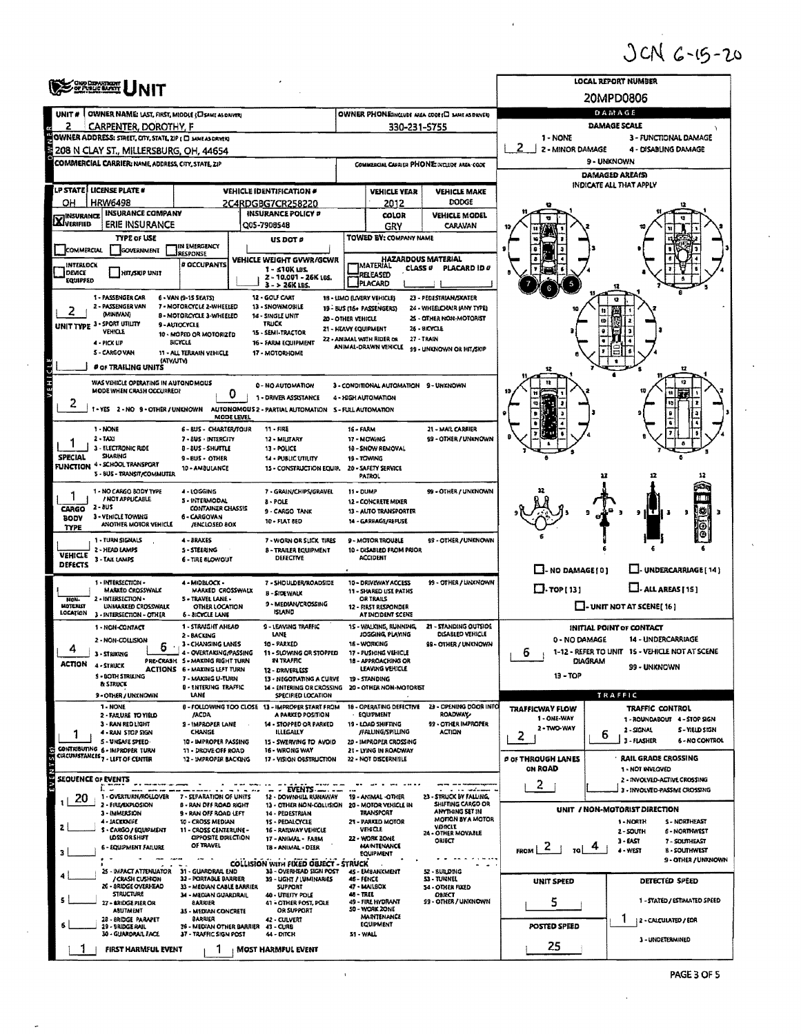## JCN 6-15-20

| OND DEPARTMENT                  |                                                                                     |                                                          |                   |                                                                                                   |                                            |                                                         |                                                            | LOCAL REPORT NUMBER                        |                                                                           |  |  |  |  |
|---------------------------------|-------------------------------------------------------------------------------------|----------------------------------------------------------|-------------------|---------------------------------------------------------------------------------------------------|--------------------------------------------|---------------------------------------------------------|------------------------------------------------------------|--------------------------------------------|---------------------------------------------------------------------------|--|--|--|--|
|                                 |                                                                                     |                                                          |                   |                                                                                                   |                                            |                                                         |                                                            |                                            | 20MPD0806                                                                 |  |  |  |  |
|                                 | UNIT #   OWNER NAME: LAST, FIRST, MIDDLE (CISAME AS DRIVER)                         |                                                          |                   |                                                                                                   |                                            |                                                         | OWNER PHONEINCLUDE AREA COOR (C) MAIL AS DRIVERS           |                                            | DAMAGE                                                                    |  |  |  |  |
| 2                               | CARPENTER, DOROTHY, F<br>OWNER ADDRESS: STREET, CITY, STATE, ZIP ( D SAME AS DRYING |                                                          |                   |                                                                                                   |                                            | 330-231-5755                                            |                                                            | $1 - NONE$                                 | DAMAGE SCALE<br>3 - FUNCTIONAL DAMAGE                                     |  |  |  |  |
|                                 | 208 N CLAY ST., MILLERSBURG, OH, 44654                                              |                                                          |                   |                                                                                                   |                                            |                                                         |                                                            | 2<br>2 - MINOR DAMAGE                      | 4 - DISABUNG DAMAGE                                                       |  |  |  |  |
|                                 | COMMERCIAL CARRIER: NAME ADDRESS, CITY, STATE, ZIP                                  |                                                          |                   |                                                                                                   |                                            |                                                         | COMMERCIAL CARRIER PHONE: INCLUDE AREA-COOK                | 9 - UNKNOWN                                |                                                                           |  |  |  |  |
|                                 |                                                                                     |                                                          |                   |                                                                                                   |                                            |                                                         |                                                            | DAMAGED AREA(S)<br>INDICATE ALL THAT APPLY |                                                                           |  |  |  |  |
|                                 | LP STATE   LICENSE PLATE #                                                          |                                                          |                   | VEHICLE IDENTIFICATION #                                                                          | <b>VEHICLE YEAR</b><br><b>VEHICLE MAKE</b> |                                                         |                                                            |                                            |                                                                           |  |  |  |  |
| он                              | <b>HRW6498</b><br><b>INSURANCE COMPANY</b>                                          |                                                          |                   | 2C4RDGBG7CR258220<br>INSURANCE POLICY #                                                           |                                            | 2012<br>COLOR                                           | DODGE<br><b>VEHICLE MODEL</b>                              |                                            |                                                                           |  |  |  |  |
| <b>X</b> I <sup>INSURANCE</sup> | ERIE INSURANCE                                                                      |                                                          |                   | Q05-7908548                                                                                       |                                            | GRY                                                     | CARAVAN                                                    |                                            |                                                                           |  |  |  |  |
|                                 | <b>TYPE OF USE</b>                                                                  | IN EMERGENCY                                             |                   | US DOT #                                                                                          |                                            | TOWED BY: COMPANY NAME                                  |                                                            |                                            |                                                                           |  |  |  |  |
| COMMERCIAL                      | GOVERNMENT                                                                          | RESPONSE                                                 |                   | VEHICLE WEIGHT GVWR/GCWR                                                                          |                                            | HAZARDOUS MATERIAL                                      |                                                            |                                            |                                                                           |  |  |  |  |
| INTERLOCK<br> DEVICE            | <b>HIT/SKIP UNIT</b>                                                                | # OCCUPANTS                                              |                   | 1 - ≤10K LBS.<br>2 - 10.001 - 26K LBS.                                                            |                                            | $Class \theta$<br>RELEASED                              | <b>PLACARD ID #</b>                                        |                                            |                                                                           |  |  |  |  |
| <b>EQUIPPED</b>                 |                                                                                     |                                                          |                   | 3 - > 26K LBS.                                                                                    |                                            | PLACARD                                                 |                                                            |                                            |                                                                           |  |  |  |  |
|                                 | 1 - PASSENGER CAR<br>2 - PASSENGER VAN                                              | 6 - VAN (9-15 SEATS)<br>7 - MOTORCYCLE 2-WHEELED         |                   | <b>12 - GOLF CART</b><br>13 - SNOWMOBILE                                                          |                                            | 18 - LIMO (LIVERY VEHICLE)<br>19 - BUS (16+ PASSENGERS) | 23 - PEDESTRIAN/SKATER<br>24 - WHEELCHAIR (ANY TYPE)       |                                            |                                                                           |  |  |  |  |
|                                 | (MINIVAN)<br>UNIT TYPE 3 - SPORT UTILITY                                            | 8 - MOTORCYCLE 3-WHEELED<br><b>9-AUTOCYCLE</b>           |                   | 14 - SINGLE UNIT<br>20 - OTHER VEHICLE<br><b>TRUCK</b>                                            |                                            |                                                         | 25 - CITHER NON-MOTORIST                                   |                                            | n<br>$\boldsymbol{\omega}$                                                |  |  |  |  |
|                                 | VEHICLE                                                                             | 10 - MOPED OR MOTORIZED                                  |                   | 15 - SEMI-TRACTOR                                                                                 |                                            | 21 - HEAVY EQUIPMENT<br>22 - ANIMAL WITH RIDER OR       | 26 - 81CYCLE<br>27 - TRAIN                                 |                                            | ö                                                                         |  |  |  |  |
|                                 | 4 - PICK UP<br>S - CARGO VAN                                                        | <b>SICYCLE</b><br>11 - ALL TERRAIN VEHICLE               |                   | 16 - FARM EQUIPMENT<br>17 - MOTORHOME                                                             |                                            | ANIMAL-DRAWN VEHICLE                                    | 99 - UNKNOWN OR HIT/SKIP                                   |                                            |                                                                           |  |  |  |  |
|                                 | <b><i>(ATVAJTV)</i></b><br># OF TRAILING UNITS                                      |                                                          |                   |                                                                                                   |                                            |                                                         |                                                            |                                            |                                                                           |  |  |  |  |
|                                 | WAS VEHICLE OPERATING IN AUTONOMOUS                                                 |                                                          |                   | 0 - NO AUTOMATION                                                                                 |                                            | 3 - CONDITIONAL AUTOMATION 9 - UNXNOWN                  |                                                            |                                            |                                                                           |  |  |  |  |
|                                 | MODE WHEN CRASH OCCURRED?                                                           |                                                          | O                 | 1 - DRIVER ASSISTANCE                                                                             |                                            | 4 - HIGH AUTOMATION                                     |                                                            |                                            | Ħ                                                                         |  |  |  |  |
| 2                               | 1-YES 2-NO 9-OTHER / UNKNOWN AUTONOMOUS 2- PARTIAL AUTOMATION 5-FULL AUTOMATION     |                                                          | <b>MODE LEVEL</b> |                                                                                                   |                                            |                                                         |                                                            |                                            | 49                                                                        |  |  |  |  |
|                                 | $1 - RIONE$                                                                         | 6 - BUS - CHARTER/TOUR                                   |                   | 11 - FIRE                                                                                         | 16 - FARM                                  |                                                         | 21 - MAIL CARRIER                                          |                                            |                                                                           |  |  |  |  |
|                                 | $2 - 7/32$                                                                          | 7 - BUS - INTERCITY                                      |                   | 12 - MILITARY                                                                                     |                                            | 17 - MOWING                                             | 99 - OTHER / UNKNOWN                                       |                                            |                                                                           |  |  |  |  |
| <b>SPECIAL</b>                  | 3 - ELECTRONIC RIDE<br><b>SHARING</b>                                               | <b>B-BUS-SHUTTLE</b><br>9-BUS-OTHER                      |                   | 13 - POLICE<br>14 - PUBLIC UTILITY                                                                |                                            | 18 - SNOW REMOVAL<br>19 - TOWING                        |                                                            |                                            |                                                                           |  |  |  |  |
| FUNCTION                        | 4 - SCHOOL TRANSPORT<br>5 - BUS - TRANSIT/COMMUTER                                  | 10 - AMBULANCE                                           |                   | 15 - CONSTRUCTION EQUIP.                                                                          |                                            | 20 - SAFETY SERVICE<br>PATROL                           |                                                            |                                            |                                                                           |  |  |  |  |
|                                 | 1 - NO CARGO BODY TYPE                                                              | 4 - LOGGING                                              |                   | 7 - GRAIN/CHIPS/GRAVEL                                                                            | 11 - DUMP                                  |                                                         | 99 - OTHER / UNKNOWN                                       |                                            |                                                                           |  |  |  |  |
| CARGO                           | / NOT APPUCABLE<br>2 - 80S                                                          | <b>S - INTERMODAL</b><br><b>CONTAINER CHASSIS</b>        |                   | <b>B</b> - POLE                                                                                   |                                            | 12 - CONCRETE MIXER                                     |                                                            |                                            |                                                                           |  |  |  |  |
| <b>BODY</b>                     | 3 - VEHICLE TOWING                                                                  | 6 - CARGOVAN                                             |                   | 9-CARGO TANK<br><b>10 - FLAT BED</b>                                                              |                                            | 13 - AUTO TRANSPORTER<br>14 - GARBAGE/REFUSE            |                                                            |                                            | œ<br>ıτ<br>9 H                                                            |  |  |  |  |
| <b>TYPE</b>                     | ANOTHER MOTOR VEHICLE                                                               | /ENCLOSED BOX                                            |                   |                                                                                                   |                                            |                                                         |                                                            |                                            | Θ<br>Θ                                                                    |  |  |  |  |
| <b>VEHICLE</b>                  | 1 - TURN SIGNALS<br>2 - HEAD LAMPS                                                  | 4 - BRAXES<br>5 - Steering                               |                   | 7 - WORN OR SLICK TIRES<br><b>B-TRAILER EQUIPMENT</b>                                             |                                            | 9 - MOTOR TROUBLE<br>10 - DISABLED FROM PRIOR           | 99 - OTHER / UNKNOWN                                       |                                            |                                                                           |  |  |  |  |
| DEFECTS                         | 3 - TAIL LAMPS                                                                      | <b>6 - TIRE BLOWOUT</b>                                  |                   | DEFECTIVE                                                                                         |                                            | <b>ACCIDENT</b>                                         |                                                            | $\square$ - NO DAMAGE(0)                   | U-UNDERCARRIAGE[14]                                                       |  |  |  |  |
|                                 | 1 - INTERSECTION -                                                                  | 4 - MIDBLOCK -                                           |                   | 7 - SHOULDER/ROADSIDE                                                                             |                                            | 10 - DRIVEWAY ACCESS                                    | 99 - OTHER / UNKNOWN                                       |                                            |                                                                           |  |  |  |  |
| Holl-                           | <b>MARKED CROSSWALK</b><br>2 - INTERSECTION -                                       | MARKED CROSSWALK<br>5 - TRAVEL LANE -                    |                   | <b>B-SIDEWALK</b>                                                                                 |                                            | 11 - SHARED USE PATHS<br><b>OR TRAILS</b>               |                                                            | $\Box$ . TOP [ 13 ]                        | $\Box$ - ALL AREAS [15]                                                   |  |  |  |  |
| <b>MOTERIST</b><br>LOCATION     | UNIMARKED CROSSWALK<br>3 - INTERSECTION - OTHER                                     | OTHER LOCATION<br><b>6 - BICYCLE LANE</b>                |                   | 9 - MEDIAN/CROSSING<br>ISLAND                                                                     |                                            | 12 - FIRST RESPONDER<br>AT INCIDENT SCENE               |                                                            |                                            | $\Box$ - UNIT NOT AT SCENE [16]                                           |  |  |  |  |
|                                 | 1 - NON-CONTACT                                                                     | 1 - STRAIGHT AHEAD                                       |                   | 9 - LEAVING TRAFFIC                                                                               |                                            | 15 - WALKING, RUNNING,                                  | 21 - STANDING OUTSIDE                                      |                                            | INITIAL POINT OF CONTACT                                                  |  |  |  |  |
|                                 | 2 - NON-COLLISION<br>5                                                              | 2 - BACKING<br>. 3 - CHANGING LANES                      |                   | LANE<br>10 - PARKED                                                                               |                                            | JOGGING, PLAYING<br>16 - WORKING                        | DISABLED VEHICLE<br><b>99 - OTHER / UNKNOWN</b>            | 0 - NO DAMAGE                              | <b>14 - UNDERCARRIAGE</b>                                                 |  |  |  |  |
|                                 | 3 - STRIKING                                                                        | 4 - OVERTAKING/PASSING<br>PRE-CRASH S. MAXING RIGHT TURN |                   | 11 - SLOWING OR STOPPED<br><b>IN TRAFFIC</b>                                                      |                                            | 17 - PUSHING VEHICLE<br>18 - APPROACHING OF             |                                                            | 6<br>DIAGRAM                               | 1-12 - REFER TO UNIT 15 - VEHICLE NOT AT SCENE                            |  |  |  |  |
| ACTION                          | 4 - STAUCK<br>5 - BOTH STRILING                                                     | <b>ACTIONS 6 - MAXING LEFT TURN</b><br>7 - MAKING U-TURN |                   | 12 - DRIVERLESS<br>13 - NEGOTIATING A CURVE                                                       |                                            | LEAVING VEHICLE<br><b>19 - STANDING</b>                 |                                                            | 99 - UNKNOWN<br>$13 - TOP$                 |                                                                           |  |  |  |  |
|                                 | & STRUCK                                                                            | <b>B-ENTERING TRAFFIC</b><br>LANE                        |                   | 14 - ENTERING OR CROSSING                                                                         |                                            | 20 - OTHER NON-MOTORIST                                 |                                                            |                                            | TRAFFIC                                                                   |  |  |  |  |
|                                 | 9 - OTHER / UNXNOWN<br>1 - NONE                                                     |                                                          |                   | SPECIFIED LOCATION<br>8-FOLLOWING TOO CLOSE 13- IMPROPER START FROM                               |                                            | 18 - OPERATING DEFECTIVE                                | 23 - OPENING DOOR INTO                                     | <b>TRAFFICWAY FLOW</b>                     | TRAFFIC CONTROL                                                           |  |  |  |  |
|                                 | 2 - FAILURE TO YIELD<br>3 - RAN RED LIGHT                                           | /ACDA<br>9 - IMPROPER LANE                               |                   | A PARKED POSITION<br>14 - STOPPED OR PARKED                                                       |                                            | · EQUIPMENT<br>19 - LOAD SHIFTING                       | <b>ROADWAY</b><br>99 - OTHER IMPROPER                      | 1 - ONE-WAY                                | 1 - ROUNDABOUT 4 - STOP SIGN                                              |  |  |  |  |
|                                 | 4 - RAN STOP SIGN<br>S - UNSAFE SPEED-                                              | CHANGE<br>10 - IMPROPER PASSING                          |                   | <b>ILLEGALLY</b><br>15 - SWERVING TO AVOID                                                        |                                            | <b>FALUNG/SPILLING</b><br>20 - IMPROPER CROSSING        | <b>ACTION</b>                                              | 2 - TWO-WAY<br>z                           | 2 - SIGNAL<br>S - VIELD SIGN<br>6<br>3 - FLASHER<br><b>6 - NO CONTROL</b> |  |  |  |  |
|                                 | CONTRIBUTING 6-IMPROPER TURN<br>CIACUMSTANCES <sub>7 - LEFT OF CENTER</sub>         | 11 - DROVE OFF ROAD                                      |                   | 16 - WRONG WAY                                                                                    |                                            | 21 - LYING IN ROADWAY                                   |                                                            |                                            | · RAIL GRADE CROSSING                                                     |  |  |  |  |
|                                 |                                                                                     | 12 - IMPROPER BACIONG                                    |                   | 17 - VISION OBSTRUCTION                                                                           |                                            | 22 - NOT DISCERNISLE                                    |                                                            | # OF THROUGH LANES<br>ON ROAD              | 1 - NOT INVLOVED                                                          |  |  |  |  |
| e ki                            | SEQUENCE OF EVENTS<br>Г.                                                            |                                                          |                   |                                                                                                   |                                            |                                                         |                                                            | $\overline{c}$                             | 2 - INVOLVED-ACTIVE CROSSING                                              |  |  |  |  |
| 20                              | 1 - OVERTURN/ROLLOVER<br>2 - FIRE/EXPLOSION                                         | 7 - SEPARATION OF UNITS<br><b>B - RAN OFF ROAD RIGHT</b> |                   | $\cdot$ EVENTS $\cdot$<br>12 - DOWNHILL RUNAWAY<br>13 - OTHER NON-COLLISION 20 - MOTOR VEHICLE IN |                                            | 19 - ANIMAL -OTHER                                      | a sa malam<br>23 - STRUCK BY FALLING,<br>SHIFTING CARGO OR |                                            | 3 - INVOLVED-PASSIVE CROSSING                                             |  |  |  |  |
|                                 | 3 - IMMERSION                                                                       | 9 - RAN OFF ROAD LEFT                                    |                   | 14 - PEDESTRIAN                                                                                   |                                            | <b>TRANSPORT</b>                                        | ANYTHING SET IN<br><b>MOTION BY A MOTOR</b>                |                                            | UNIT / NON-MOTORIST DIRECTION                                             |  |  |  |  |
|                                 | 4 - IACKKNIFE<br>S - CARGO / EQUIPMENT                                              | 10 - CROSS MEDIAN<br>11 - CROSS CENTERUNE -              |                   | 15 - PEDALCYCLE<br>16 - RAILWAY VEHICLE                                                           |                                            | 21 - PARKED MOTOR<br>VEHICLE                            | VEHICLE<br>24 - OTHER MOVABLE                              |                                            | 1-NORTH<br>S-NORTHEAST<br>6 - NORTHWEST<br>$2 - 50$ UTH                   |  |  |  |  |
|                                 | <b>LDSS OR SHIFT</b><br>6 - EQUIPMENT FAILURE                                       | OPPOSITE DIRECTION<br>OF TRAVEL                          |                   | 17 - ANIMAL - FARM<br>TB - ANIMAL - DEER                                                          |                                            | 22 - WORK ZONE<br><b>MAINTENANCE</b>                    | OBIECT                                                     | $\epsilon$<br>FROM<br>TO                   | $3 - EAT$<br>7 - SOUTHEAST<br>4 - WEST<br><b>B-SOUTHWEST</b>              |  |  |  |  |
| 3                               | me cares                                                                            |                                                          |                   | COLLISION WITH FIXED OBJECT - STRUCK                                                              |                                            | EQUIPMENT                                               |                                                            |                                            | 9 - OTHER / UNKNOWN                                                       |  |  |  |  |
|                                 | 25 - IMPACT ATTENUATOR 31 - GUARDRAIL END<br>/ CRASH CUSHION                        | 32 - PORTABLE BARRIER                                    |                   | 38 - OVERHEAD SIGN POST<br>39 - UGHT / LUMINARIES                                                 | 46 - FENCE                                 | 45 - EMBANKMENT                                         | 52 - BUILDING<br>53 - TURNEL                               | UNIT SPEED                                 | DETECTED SPEED                                                            |  |  |  |  |
|                                 | 26 - SRIDGE OVERHEAD<br><b>STRUCTURE</b>                                            | 33 - MEDIAN CABLE BARRIER<br>34 - MEDIAN GUARDRAIL       |                   | <b>SUPPORT</b><br>40 - UTILITY POLE                                                               | 48 - TREE                                  | 47 - MAILBOX                                            | <b>S4 - OTHER FIXED</b><br><b>OBJECT</b>                   |                                            |                                                                           |  |  |  |  |
|                                 | 27 - ARIDGE PIER OR<br><b>ABUTMENT</b>                                              | <b>BARRIER</b><br>35 - MEDIAN CONCRETE                   |                   | 41 - OTHER POST, POLE<br>OR SUPPORT                                                               |                                            | 49 - FIRE HYDRANT<br>50 - WORK ZONE                     | 99 - OTHER / UNKNOWN                                       | 5                                          | 1 - STATED / ESTIMATED SPEED                                              |  |  |  |  |
|                                 | 28 - BRIDGE PARAPET<br>29 - BRIDGE RAIL                                             | <b>BARRIER</b><br>36 - MEDIAN OTHER BARRIER 43 - CURB    |                   | 42 - CULVERT                                                                                      |                                            | MAINTENANCE<br>EQUIPMENT                                |                                                            | POSTED SPEED                               | 2 - CALCULATED / EDR                                                      |  |  |  |  |
|                                 | 30 - GUARDRAIL FACE                                                                 | 37 - TRAFFIC SIGN POST                                   |                   | 44 - DITCH                                                                                        | 51 - WALL                                  |                                                         |                                                            |                                            | 3 - UNDETERMINED                                                          |  |  |  |  |
|                                 | <b>FIRST HARMFUL EVENT</b>                                                          |                                                          |                   | MOST HARMFUL EVENT                                                                                |                                            |                                                         |                                                            | 25                                         |                                                                           |  |  |  |  |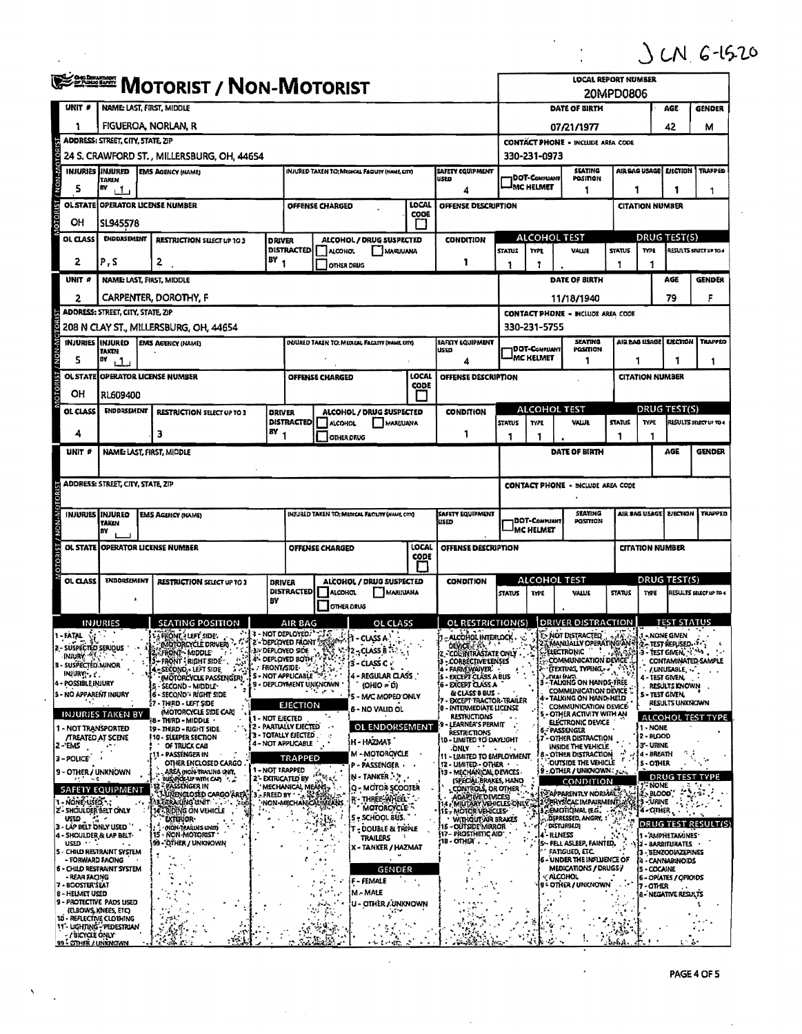J CN 6-1520

 $\sum_{i=1}^{n}$ 

|                                                    | <b>SERRICH MOTORIST / NON-MOTORIST</b> |                                                                                                                                                                                                                                  |                                                |                                                          |                               |                                                |                          |                                                                                                                                                                                                                                     | <b>LOCAL REPORT NUMBER</b><br>20MPD0806                                |                                             |                                                         |                       |                                                                               |                                          |                               |  |  |
|----------------------------------------------------|----------------------------------------|----------------------------------------------------------------------------------------------------------------------------------------------------------------------------------------------------------------------------------|------------------------------------------------|----------------------------------------------------------|-------------------------------|------------------------------------------------|--------------------------|-------------------------------------------------------------------------------------------------------------------------------------------------------------------------------------------------------------------------------------|------------------------------------------------------------------------|---------------------------------------------|---------------------------------------------------------|-----------------------|-------------------------------------------------------------------------------|------------------------------------------|-------------------------------|--|--|
| UNIT #                                             | NAME: LAST, FIRST, MIDDLE              |                                                                                                                                                                                                                                  |                                                |                                                          |                               |                                                |                          |                                                                                                                                                                                                                                     |                                                                        |                                             | DATE OF BIRTH<br>AGE<br><b>GENDER</b>                   |                       |                                                                               |                                          |                               |  |  |
|                                                    |                                        | FIGUEROA, NORLAN, R                                                                                                                                                                                                              |                                                |                                                          |                               |                                                |                          |                                                                                                                                                                                                                                     |                                                                        |                                             |                                                         | 42<br>07/21/1977<br>м |                                                                               |                                          |                               |  |  |
|                                                    | ADDRESS: STREET, CITY, STATE, ZIP      |                                                                                                                                                                                                                                  |                                                |                                                          |                               |                                                |                          |                                                                                                                                                                                                                                     | <b>CONTACT PHONE - INCLUDE AREA CODE</b>                               |                                             |                                                         |                       |                                                                               |                                          |                               |  |  |
|                                                    |                                        | 24 S. CRAWFORD ST. , MILLERSBURG, OH, 44654                                                                                                                                                                                      |                                                |                                                          |                               |                                                |                          |                                                                                                                                                                                                                                     |                                                                        | 330-231-0973                                |                                                         |                       |                                                                               |                                          |                               |  |  |
| и.<br><b>INJURIES</b>                              | INJURED<br>TAKEN                       | <b>EMS AGENCY (NAME)</b>                                                                                                                                                                                                         | INJURED TAKEN TO; MIGICAL FACILITY (NAME CITY) |                                                          |                               |                                                | SAFETY EQUIPMENT<br>USED |                                                                                                                                                                                                                                     | SEATING<br><b>BOT-COMPLIANT</b><br>POSITION                            |                                             |                                                         | AIR BAG USAGE         | <b>LIECTION</b>                                                               | TRAPPED                                  |                               |  |  |
| 5                                                  | B٧<br>، 1،                             |                                                                                                                                                                                                                                  |                                                |                                                          |                               | 4                                              |                          | <b>IMC HELMET</b>                                                                                                                                                                                                                   |                                                                        |                                             | 1<br>1<br>1                                             |                       |                                                                               |                                          |                               |  |  |
|                                                    | OL STATE OPERATOR LICENSE NUMBER       |                                                                                                                                                                                                                                  | LOCAL<br>OFFENSE CHARGED<br>COOE               |                                                          |                               |                                                |                          | OFFENSE DESCRIPTION                                                                                                                                                                                                                 |                                                                        |                                             |                                                         |                       | <b>CITATION NUMBER</b>                                                        |                                          |                               |  |  |
| OН                                                 | SL945578                               |                                                                                                                                                                                                                                  |                                                |                                                          |                               |                                                |                          |                                                                                                                                                                                                                                     |                                                                        |                                             |                                                         |                       |                                                                               |                                          |                               |  |  |
| OL CLASS                                           | <b>ENDDRSDARNT</b>                     | <b>RESTRICTION SELECT UP TO 3</b>                                                                                                                                                                                                | <b>DRIVER</b>                                  | <b>DISTRACTED</b>                                        | <b>ALCOHOL</b>                | ALCOHOL / DRUG SUSPECTED<br><b>MARIUANA</b>    |                          | <b>CONDITION</b>                                                                                                                                                                                                                    | <b>STATUS</b>                                                          | <b>TYPE</b>                                 | <b>ALCOHOL TEST</b><br><b>VALUE</b>                     | <b>STATUS</b>         | <b>TYPE</b>                                                                   | DRUG TEST(S)                             | <b>RESULTS SELECT UP TO 4</b> |  |  |
| 2                                                  | P, S                                   | $2$ .                                                                                                                                                                                                                            | BY                                             | OTHER DRUG                                               |                               |                                                |                          | -1                                                                                                                                                                                                                                  | 1                                                                      | 1                                           |                                                         |                       | 1                                                                             |                                          |                               |  |  |
| UNIT <sub>#</sub>                                  | <b>NAME: LAST, FIRST, MIDDLE</b>       |                                                                                                                                                                                                                                  |                                                |                                                          |                               |                                                |                          |                                                                                                                                                                                                                                     |                                                                        |                                             | DATE OF BIRTH                                           |                       |                                                                               | AGE                                      | <b>GENDER</b>                 |  |  |
| 2                                                  |                                        | CARPENTER, DOROTHY, F                                                                                                                                                                                                            |                                                |                                                          |                               |                                                |                          |                                                                                                                                                                                                                                     |                                                                        |                                             | 11/18/1940                                              |                       |                                                                               | 79                                       | F                             |  |  |
|                                                    | ADDRESS: STREET, CITY, STATE, ZIP      |                                                                                                                                                                                                                                  |                                                |                                                          |                               |                                                |                          |                                                                                                                                                                                                                                     |                                                                        |                                             | <b>CONTACT PHONE - INCLUDE AREA CODE</b>                |                       |                                                                               |                                          |                               |  |  |
|                                                    |                                        | 208 N CLAY ST., MILLERSBURG, OH, 44654                                                                                                                                                                                           |                                                |                                                          |                               |                                                |                          |                                                                                                                                                                                                                                     |                                                                        | 330-231-5755                                |                                                         |                       |                                                                               |                                          |                               |  |  |
|                                                    | INJURIES INJURED<br>TAKEN              | <b>EMS AGENCY (NAME)</b>                                                                                                                                                                                                         |                                                |                                                          |                               | DUURED TAKEN TO: MIDIGAL FACUTY (NAME, CITY)   |                          | SAFETY EQUIPMENT<br><b>USED</b>                                                                                                                                                                                                     |                                                                        | <b>DOT-CONFLUENT</b>                        | <b>SEATING</b><br>POSITION                              |                       | AIR BAG USAGE                                                                 | EFECTION                                 | <b>TRAPPED</b>                |  |  |
| 5                                                  | BY<br>ட                                |                                                                                                                                                                                                                                  |                                                |                                                          |                               |                                                |                          | 4                                                                                                                                                                                                                                   |                                                                        | <b>MC KELMET</b>                            | 1                                                       | 1                     |                                                                               | 1                                        | 1                             |  |  |
| 51                                                 | OL STATE OPERATOR LICENSE NUMBER       |                                                                                                                                                                                                                                  |                                                |                                                          | OFFENSE CHARGED               |                                                | LOCAL<br>CODE            | OFFENSE DESCRIPTION                                                                                                                                                                                                                 |                                                                        |                                             |                                                         |                       | <b>CITATION NUMBER</b>                                                        |                                          |                               |  |  |
| oro<br>OН                                          | <b>RL609400</b>                        |                                                                                                                                                                                                                                  |                                                |                                                          |                               |                                                |                          |                                                                                                                                                                                                                                     |                                                                        |                                             |                                                         |                       |                                                                               |                                          |                               |  |  |
| OL CLASS                                           | ENDORSEMENT                            | <b>RESTRICTION SELECT UP TO 3</b>                                                                                                                                                                                                | <b>DRIVER</b>                                  | <b>DISTRACTED</b>                                        | <b>ALCOHOL</b>                | ALCOHOL / DRUG SUSPECTED<br><b>MARITUANA</b>   |                          | <b>CONDITION</b>                                                                                                                                                                                                                    | STATUS                                                                 | <b>ALCOHOL TEST</b><br>VALUE<br><b>TYPE</b> |                                                         |                       | DRUG TEST(S)<br><b>STATUS</b><br><b>TYPE</b><br><b>RESULTS SELECT UP TO 4</b> |                                          |                               |  |  |
| 4                                                  |                                        | з                                                                                                                                                                                                                                | $\mathbf{F}$                                   |                                                          | OTHER DRUG                    |                                                |                          | 1                                                                                                                                                                                                                                   | 1                                                                      | 1                                           |                                                         | 1                     | 1                                                                             |                                          |                               |  |  |
| UNIT P                                             | <b>NAME: LAST, FIRST, MIDDLE</b>       |                                                                                                                                                                                                                                  |                                                |                                                          |                               |                                                |                          |                                                                                                                                                                                                                                     |                                                                        |                                             | DATE OF BIRTH                                           |                       |                                                                               | AGE                                      | GENDER                        |  |  |
|                                                    |                                        |                                                                                                                                                                                                                                  |                                                |                                                          |                               |                                                |                          |                                                                                                                                                                                                                                     |                                                                        |                                             |                                                         |                       |                                                                               |                                          |                               |  |  |
|                                                    | ADDRESS: STREET, CITY, STATE, ZIP      |                                                                                                                                                                                                                                  |                                                |                                                          |                               |                                                |                          |                                                                                                                                                                                                                                     |                                                                        |                                             | <b>CONTACT PHONE - INCLUDE AREA CODE</b>                |                       |                                                                               |                                          |                               |  |  |
|                                                    |                                        |                                                                                                                                                                                                                                  |                                                |                                                          |                               |                                                |                          |                                                                                                                                                                                                                                     |                                                                        |                                             |                                                         |                       |                                                                               |                                          |                               |  |  |
| <b>INJURIES IINJURED</b>                           | TAKEN                                  | <b>EMS AGENCY (NAME)</b>                                                                                                                                                                                                         |                                                |                                                          |                               | INJURED TAKEN TO: MEDICAL FACILITY (NAME CITY) |                          | SAFETY EQUIPMENT<br><b>USED</b>                                                                                                                                                                                                     | <b>STAYING</b><br>AIR BAG USAGE   EJECTION<br>DOT-CONFUNNT<br>POSTTION |                                             |                                                         |                       |                                                                               | <b>TRAPPED</b>                           |                               |  |  |
|                                                    | BY                                     |                                                                                                                                                                                                                                  |                                                |                                                          |                               |                                                |                          |                                                                                                                                                                                                                                     |                                                                        | <b>IMC HELMET</b>                           |                                                         |                       |                                                                               |                                          |                               |  |  |
| OL STATE                                           |                                        | <b>OPERATOR LICENSE NUMBER</b>                                                                                                                                                                                                   |                                                | LOCAL<br>OFFENSE DESCRIPTION<br>OFFENSE CHARGED<br>CODE  |                               |                                                |                          |                                                                                                                                                                                                                                     |                                                                        |                                             | <b>CITATION NUMBER</b>                                  |                       |                                                                               |                                          |                               |  |  |
|                                                    | <b>ENDORSEMENT</b>                     |                                                                                                                                                                                                                                  |                                                | П                                                        |                               |                                                | ALCOHOL TEST             |                                                                                                                                                                                                                                     |                                                                        |                                             | DRUG TEST(S)                                            |                       |                                                                               |                                          |                               |  |  |
| OL CLASS                                           |                                        | <b>RESTRICTION SELECT UP TO 3</b>                                                                                                                                                                                                | <b>DRIVER</b>                                  | <b>DISTRACTED</b>                                        | ALCOHOL                       | ALCOHOL / DRUG SUSPECTED<br><b>MARIJUANA</b>   |                          | <b>CONDITION</b>                                                                                                                                                                                                                    | <b>STATUS</b>                                                          | TYPE                                        | VALUS                                                   | <b>STATUS</b>         | <b>TYPE</b>                                                                   |                                          | RESULTS SELECT UP TO 4        |  |  |
|                                                    |                                        |                                                                                                                                                                                                                                  | BY                                             |                                                          | OTHER DRUG                    |                                                |                          |                                                                                                                                                                                                                                     |                                                                        |                                             |                                                         |                       |                                                                               |                                          |                               |  |  |
|                                                    | <b>INJURIES</b>                        | <b>SEATING POSITION</b>                                                                                                                                                                                                          |                                                | AIR BAG                                                  |                               | <b>OL CLASS</b>                                |                          | OL RESTRICTION(S)                                                                                                                                                                                                                   |                                                                        |                                             | DRIVER DISTRACTION                                      |                       |                                                                               | <b>TEST STATUS</b>                       |                               |  |  |
| <b>FATAL</b><br>2 - SUSPECTED SERIOUS              |                                        | ်းခြဲတို့ကို (Lerf side: ကြောက် Al 3 - NOT DEPLOYED: ကြောင့် ကြောင်း CASS A )<br>ကြောက်ရှိလေး Le DRIVEက ကို ကြောက် DEPLOYED FRONt ကြောင့် ကြောင့် နောက် မောက် မြန်မာနိုင်ငံ ကြောင့် မြန်မာနိုင်<br>ကြောက်ရှိလေး Le DRIVE ကြောင့် |                                                |                                                          |                               |                                                |                          | 1 - ALCOHOL IMTERLOCK - 1975 NOT DISTRACTED : 215 13 - NONE GIVEN<br>2 - OCOLENTARY AT E ONLY - 2 - SAMANUALLY OPERATING ANY 2 - TEST REFUSED. 7 - 1<br>22 - CONSTRASTATE ONLY - 2 - S. S. SERCTRONIC - 1 - 1 - 1 - 1 - 1 - 1 - 1 - |                                                                        |                                             |                                                         |                       |                                                                               |                                          |                               |  |  |
| INJURY THE<br>3 - SUSPECTED MINOR                  |                                        | <b>FRONT : RIGHT SIDE</b>                                                                                                                                                                                                        | : Front/Side-                                  |                                                          |                               | 3 - CLASS C -                                  |                          | <b>TIVE LENSES</b>                                                                                                                                                                                                                  |                                                                        |                                             |                                                         |                       |                                                                               |                                          | CONTAMINATED SAMPLE           |  |  |
| INJURY<br>4 - POSSIBLE INJURY                      |                                        | 4-SECOND, LEFT SIDE<br>ь<br>(MOTORCYCLE PASSENGER)                                                                                                                                                                               |                                                | $\frac{1}{3}$ - NOT APPLICABLE<br>9 - DEPLOYMENT UNKNOWN |                               | 4 - REGULAR CLASS                              |                          | 4 - FARM WAIVER<br>is - EXCEPT CLASS A BUS                                                                                                                                                                                          |                                                                        |                                             | (TEXTING, TYPING.<br>adai (nat<br>TALKING ON HANDS-FREE |                       |                                                                               | / UNUSABLE<br>4 - TEST GIVEN,            |                               |  |  |
| 5 - NO APPARENT INJURY                             |                                        | SECOND - MIDDLE<br>6 - SECOND'- RIGHT SIDE                                                                                                                                                                                       |                                                |                                                          |                               | $(OHIO = O)$<br>5 - M/C MOPED ONLY             |                          | !6 - EXCEPT CLASS A<br>& CLASS B BUS<br><b>EXCEPT TRACTOR-TRAILER</b>                                                                                                                                                               |                                                                        |                                             | COMMUNICATION DEVICE<br>4 - TALKING ON HAND-HELD        |                       |                                                                               | RESULTS KNOWN<br>5 - TEST GIVEN,         |                               |  |  |
|                                                    | <b>INJURIES TAKEN BY</b>               | 17 - THIRD - LEFT SIDE<br>(MOTORCYCLE SIDE CAR)                                                                                                                                                                                  | 1 - NOT EJECTED                                | <b>EJECTION</b>                                          |                               | 5 - NO VALID OL                                |                          | 8 - INTERMEDIATE LICENSE<br><b>RESTRICTIONS</b>                                                                                                                                                                                     |                                                                        |                                             | COMMUNICATION DEVICE<br>- OTHER ACTIVITY WITH AN        |                       |                                                                               | <b>RESULTS UNKNOWN</b>                   | ALCOHOL TEST TYPE             |  |  |
| 1 - NOT TRANSPORTED                                |                                        | (8 - THIRD - MIDDLE<br>19 - THIRD - RIGHT SIDE.                                                                                                                                                                                  |                                                | 2 - PARTIALLY EJECTED<br>3 - TOTALLY EJECTED             |                               | OL ENDORSEMENT                                 |                          | LEARNER'S PERMIT<br>RESTRICTIONS                                                                                                                                                                                                    |                                                                        |                                             | ELECTRONIC DEVICE<br>5 - PASSENGER                      |                       | 1 - NONE                                                                      |                                          |                               |  |  |
| <b>/TREATED AT SCENE</b><br>2 - EMS                |                                        | <b>10 - SLEEPER SECTION</b><br>OF TRUCK CAB                                                                                                                                                                                      |                                                | 4 - NOT APPLICABLE                                       |                               | ÍH - HAZMAT                                    |                          | <b>[10 - LIMITED TO DAYLIGHT</b><br>ONLY                                                                                                                                                                                            |                                                                        |                                             | - OTHER DISTRACTION<br>INSIDE THE VEHICLE               |                       | 2 - BLOOD<br>3'- URINE                                                        |                                          |                               |  |  |
| 3 - POLICE'                                        |                                        | (1 - PASSENGER IN<br>OTHER ENCLOSED CARGO                                                                                                                                                                                        |                                                | TRAPPED                                                  |                               | M - MOTORCYCLE<br>P - PASSENGER ·              |                          | 11 - UMITED TO EMPLOYMENT                                                                                                                                                                                                           |                                                                        |                                             | <b>B-OTHER DISTRACTION</b><br>OUTSIDE THE VEHICLE       |                       | 4 - BREATH<br><b>5 - OTHER</b>                                                |                                          |                               |  |  |
| 9 - OTHER / UNKNOWN                                |                                        | AREA (NON-TRAIUNG UNIT,<br>BUS PICK-UP WITH CAP :<br>PÄSSENGER IN                                                                                                                                                                | 1 - NOT TRAPPED                                | 2'- EXTRICATED BY<br>MECHANICAL MEANS                    | $\mathcal{R}_{\rm{max}}$      | <b>N-TANKER</b> .                              |                          | 13 - MECHANICAL DEVICES<br>(SPECIAL BRAKES, HAND                                                                                                                                                                                    |                                                                        |                                             | <b>B:OTHER / UNKNOWN: SL</b><br>CONDITION               |                       | <b>TNONE</b>                                                                  | <b>DRUG TEST TYPE</b>                    |                               |  |  |
| 1 - NONE-USED *:                                   | SAFETY EQUIPMENT                       | <b>NENCLOSED CARGO AREA</b><br>čirni(ng unit                                                                                                                                                                                     | <b>FREED BY *</b>                              |                                                          |                               | Q - MOTOR SCOOTER<br>R - THREE WHEEL           |                          | CONTROLS, OR OTHER<br>ADAPTIVE DEVICES                                                                                                                                                                                              |                                                                        |                                             | 1 ZAPPARENTLY NORMAL<br>2 SPHYSICAL IMPAIRMENT          |                       | 2 BLOOD,<br><b>3 - URINE</b>                                                  |                                          |                               |  |  |
| 2 - SHOULDER BELT ONLY<br>USLD.                    | s.                                     | <b>IC RIDING ON VEHICLE</b><br><b>EXTERIOR</b>                                                                                                                                                                                   |                                                |                                                          | NON-MECHANICAL INEANS         | <b>MOTORCYCLE</b><br>S - SCHOOL BUS.           |                          | 15 - MOTOR VEHICLES<br>WITHOUT AIR BRAKES                                                                                                                                                                                           |                                                                        |                                             | <b>"JEMOTIQNAL (E.G.</b><br>OEPRESSED, ANGRY, :         |                       | 4-OTHER                                                                       |                                          |                               |  |  |
| 3 - LAP BELT ONLY USED<br>4 - SHOULDER & LAP BELT- |                                        | (NON-TRAILING UNIT)<br>15 - NON-MOTORIST                                                                                                                                                                                         |                                                |                                                          | $e^{\frac{\pi}{6}}$           | <b>T-DOUBLE &amp; TRIPLE</b>                   |                          | 16 - OÙTSIDE MIRROR<br>(17 – PROSTHETIC AID'                                                                                                                                                                                        |                                                                        |                                             | <b>DISTURBED)</b><br>- ILLNESS                          |                       |                                                                               | - AMPHETANUNES                           | DRUG TEST RESULT(S)           |  |  |
| $_{\tt USED}$ $\cdots$                             | S - CHILD RESTRAINT SYSTEM             | 99 - OTHER / UNKNOWN                                                                                                                                                                                                             |                                                |                                                          | - 1                           | <b>TRAILERS</b><br>X – TANKER / HAZMAT         |                          | $18 - OPT$                                                                                                                                                                                                                          |                                                                        |                                             | SS - FELL ASLEEP, FAINTED,<br><b>FATIGUED, ETC.</b>     |                       |                                                                               | 12 - BARBITURATES<br>3 - BENZODIAZEPINES |                               |  |  |
| - FORWARD FACING                                   | 6 - CHILD RESTRAINT SYSTEM             |                                                                                                                                                                                                                                  |                                                |                                                          |                               | GENDER                                         |                          |                                                                                                                                                                                                                                     |                                                                        |                                             | 6 - UNDER THE INFLUENCE OF<br>MEDICATIONS / DRUGS/      |                       | 5 - COCAINE                                                                   | 4 - CANNABINOIDS                         |                               |  |  |
| - REAR FACING<br>7 - BOOSTER'SEAT                  |                                        |                                                                                                                                                                                                                                  |                                                |                                                          |                               | F - FEMALE                                     |                          |                                                                                                                                                                                                                                     |                                                                        |                                             | <b>V ALCOHOL</b><br>9 - OTHER / UNKNOWN                 |                       | 17 - OTHER                                                                    | <b>6 - OPIATES / OPIOIDS</b>             |                               |  |  |
| <b>B - HELMET USED</b><br>9 - PROTECTIVE PADS USED |                                        |                                                                                                                                                                                                                                  |                                                |                                                          | حاجين                         | M - MALE<br>u - Other Aunknown                 |                          |                                                                                                                                                                                                                                     |                                                                        |                                             |                                                         |                       |                                                                               | 8 - NEGATIVE RESULTS                     |                               |  |  |
| 10 - REFLECTIVE CLOTHING                           | (ELBOWS, KNEES, ETC)                   | $\mathcal{L}_{\mathcal{A}}$                                                                                                                                                                                                      |                                                |                                                          | $\mathcal{L}_{\infty}$<br>- 7 | $\cdot$                                        |                          |                                                                                                                                                                                                                                     |                                                                        |                                             |                                                         |                       |                                                                               |                                          |                               |  |  |
| - / BICYCLE ONLY                                   | 11 - LIGHTING - PEDESTRIAN             | $\sim 10$                                                                                                                                                                                                                        |                                                |                                                          | aşl.                          |                                                |                          |                                                                                                                                                                                                                                     |                                                                        |                                             |                                                         |                       |                                                                               |                                          |                               |  |  |
| <u>99 - OTHER / UNKNOWN</u>                        |                                        | $\mathcal{A} \subset \mathcal{A}$<br>茶品で                                                                                                                                                                                         |                                                |                                                          |                               | (大学研究                                          |                          |                                                                                                                                                                                                                                     |                                                                        |                                             |                                                         |                       |                                                                               |                                          |                               |  |  |